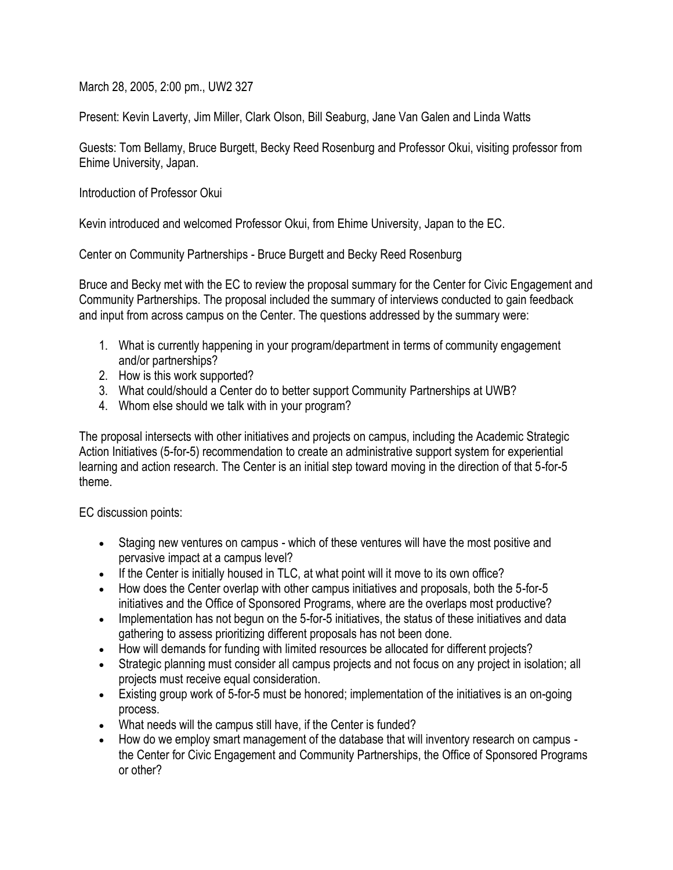March 28, 2005, 2:00 pm., UW2 327

Present: Kevin Laverty, Jim Miller, Clark Olson, Bill Seaburg, Jane Van Galen and Linda Watts

Guests: Tom Bellamy, Bruce Burgett, Becky Reed Rosenburg and Professor Okui, visiting professor from Ehime University, Japan.

Introduction of Professor Okui

Kevin introduced and welcomed Professor Okui, from Ehime University, Japan to the EC.

Center on Community Partnerships - Bruce Burgett and Becky Reed Rosenburg

Bruce and Becky met with the EC to review the proposal summary for the Center for Civic Engagement and Community Partnerships. The proposal included the summary of interviews conducted to gain feedback and input from across campus on the Center. The questions addressed by the summary were:

- 1. What is currently happening in your program/department in terms of community engagement and/or partnerships?
- 2. How is this work supported?
- 3. What could/should a Center do to better support Community Partnerships at UWB?
- 4. Whom else should we talk with in your program?

The proposal intersects with other initiatives and projects on campus, including the Academic Strategic Action Initiatives (5-for-5) recommendation to create an administrative support system for experiential learning and action research. The Center is an initial step toward moving in the direction of that 5-for-5 theme.

EC discussion points:

- Staging new ventures on campus which of these ventures will have the most positive and pervasive impact at a campus level?
- If the Center is initially housed in TLC, at what point will it move to its own office?
- How does the Center overlap with other campus initiatives and proposals, both the 5-for-5 initiatives and the Office of Sponsored Programs, where are the overlaps most productive?
- Implementation has not begun on the 5-for-5 initiatives, the status of these initiatives and data gathering to assess prioritizing different proposals has not been done.
- How will demands for funding with limited resources be allocated for different projects?
- Strategic planning must consider all campus projects and not focus on any project in isolation; all projects must receive equal consideration.
- Existing group work of 5-for-5 must be honored; implementation of the initiatives is an on-going process.
- What needs will the campus still have, if the Center is funded?
- How do we employ smart management of the database that will inventory research on campus the Center for Civic Engagement and Community Partnerships, the Office of Sponsored Programs or other?